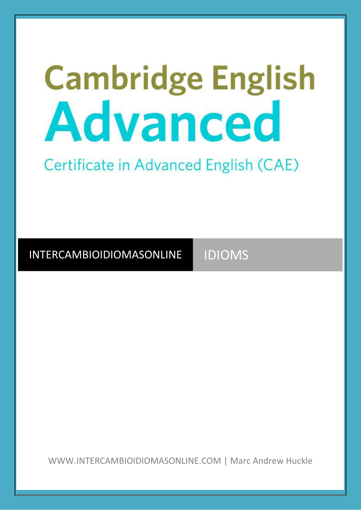# **Cambridge English** Advanced

Certificate in Advanced English (CAE)

INTERCAMBIOIDIOMASONLINE IDIOMS

WWW.INTERCAMBIOIDIOMASONLINE.COM | Marc Andrew Huckle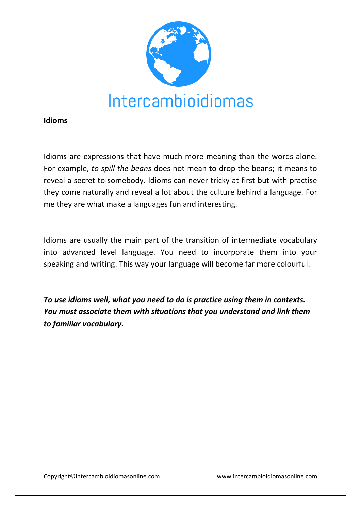

#### **Idioms**

Idioms are expressions that have much more meaning than the words alone. For example, *to spill the beans* does not mean to drop the beans; it means to reveal a secret to somebody. Idioms can never tricky at first but with practise they come naturally and reveal a lot about the culture behind a language. For me they are what make a languages fun and interesting.

Idioms are usually the main part of the transition of intermediate vocabulary into advanced level language. You need to incorporate them into your speaking and writing. This way your language will become far more colourful.

*To use idioms well, what you need to do is practice using them in contexts. You must associate them with situations that you understand and link them to familiar vocabulary.*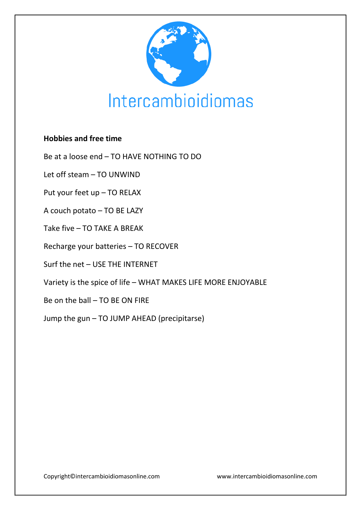

## **Hobbies and free time**

Be at a loose end – TO HAVE NOTHING TO DO

Let off steam – TO UNWIND

Put your feet up – TO RELAX

A couch potato – TO BE LAZY

Take five – TO TAKE A BREAK

Recharge your batteries – TO RECOVER

Surf the net – USE THE INTERNET

Variety is the spice of life – WHAT MAKES LIFE MORE ENJOYABLE

Be on the ball – TO BE ON FIRE

Jump the gun – TO JUMP AHEAD (precipitarse)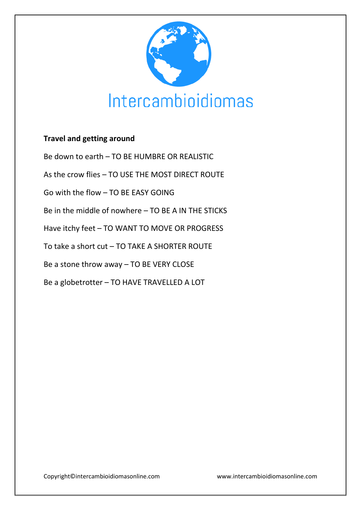

## **Travel and getting around**

Be down to earth – TO BE HUMBRE OR REALISTIC

As the crow flies – TO USE THE MOST DIRECT ROUTE

Go with the flow – TO BE EASY GOING

Be in the middle of nowhere – TO BE A IN THE STICKS

Have itchy feet – TO WANT TO MOVE OR PROGRESS

To take a short cut – TO TAKE A SHORTER ROUTE

Be a stone throw away – TO BE VERY CLOSE

Be a globetrotter – TO HAVE TRAVELLED A LOT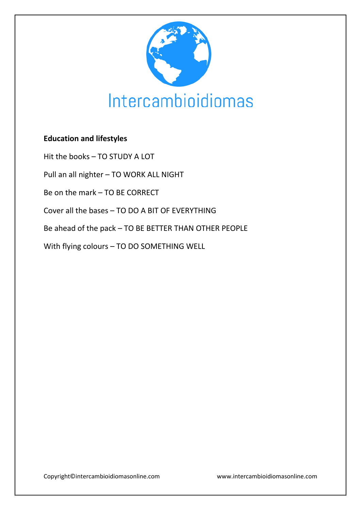

# **Education and lifestyles**

Hit the books – TO STUDY A LOT

Pull an all nighter – TO WORK ALL NIGHT

Be on the mark – TO BE CORRECT

Cover all the bases – TO DO A BIT OF EVERYTHING

Be ahead of the pack – TO BE BETTER THAN OTHER PEOPLE

With flying colours – TO DO SOMETHING WELL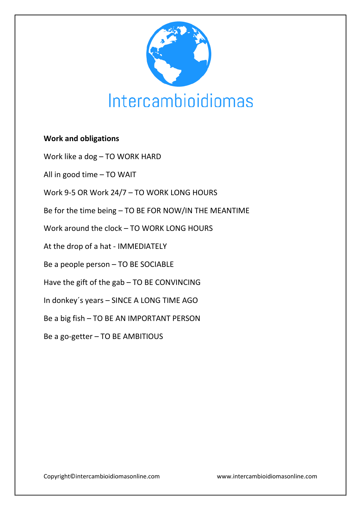

## **Work and obligations**

Work like a dog – TO WORK HARD

All in good time – TO WAIT

Work 9-5 OR Work 24/7 – TO WORK LONG HOURS

Be for the time being – TO BE FOR NOW/IN THE MEANTIME

Work around the clock – TO WORK LONG HOURS

At the drop of a hat - IMMEDIATELY

Be a people person – TO BE SOCIABLE

Have the gift of the gab – TO BE CONVINCING

In donkey´s years – SINCE A LONG TIME AGO

Be a big fish – TO BE AN IMPORTANT PERSON

Be a go-getter – TO BE AMBITIOUS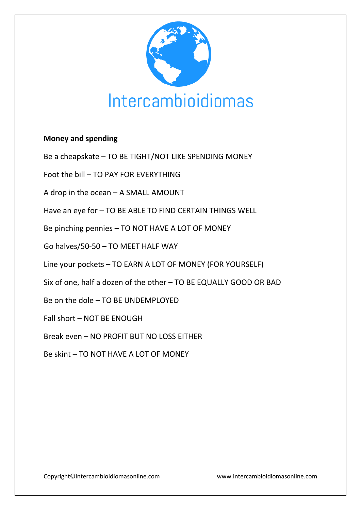

## **Money and spending**

Be a cheapskate – TO BE TIGHT/NOT LIKE SPENDING MONEY

Foot the bill – TO PAY FOR EVERYTHING

A drop in the ocean – A SMALL AMOUNT

Have an eye for – TO BE ABLE TO FIND CERTAIN THINGS WELL

Be pinching pennies – TO NOT HAVE A LOT OF MONEY

Go halves/50-50 – TO MEET HALF WAY

Line your pockets – TO EARN A LOT OF MONEY (FOR YOURSELF)

Six of one, half a dozen of the other – TO BE EQUALLY GOOD OR BAD

Be on the dole – TO BE UNDEMPLOYED

Fall short – NOT BE ENOUGH

Break even – NO PROFIT BUT NO LOSS EITHER

Be skint – TO NOT HAVE A LOT OF MONEY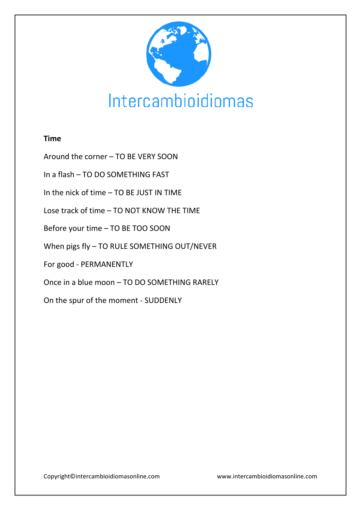

#### **Time**

Around the corner – TO BE VERY SOON

In a flash – TO DO SOMETHING FAST

In the nick of time – TO BE JUST IN TIME

Lose track of time – TO NOT KNOW THE TIME

Before your time – TO BE TOO SOON

When pigs fly – TO RULE SOMETHING OUT/NEVER

For good - PERMANENTLY

Once in a blue moon – TO DO SOMETHING RARELY

On the spur of the moment - SUDDENLY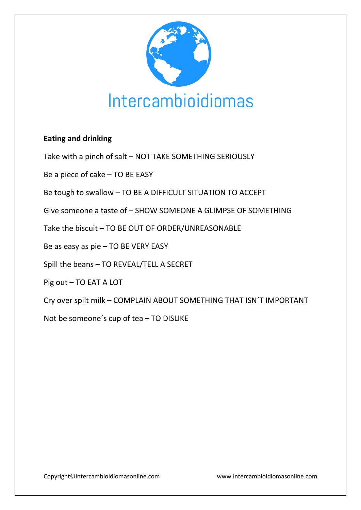

## **Eating and drinking**

Take with a pinch of salt – NOT TAKE SOMETHING SERIOUSLY

Be a piece of cake – TO BE EASY

Be tough to swallow – TO BE A DIFFICULT SITUATION TO ACCEPT

Give someone a taste of – SHOW SOMEONE A GLIMPSE OF SOMETHING

Take the biscuit – TO BE OUT OF ORDER/UNREASONABLE

Be as easy as pie – TO BE VERY EASY

Spill the beans – TO REVEAL/TELL A SECRET

Pig out – TO EAT A LOT

Cry over spilt milk – COMPLAIN ABOUT SOMETHING THAT ISN´T IMPORTANT

Not be someone´s cup of tea – TO DISLIKE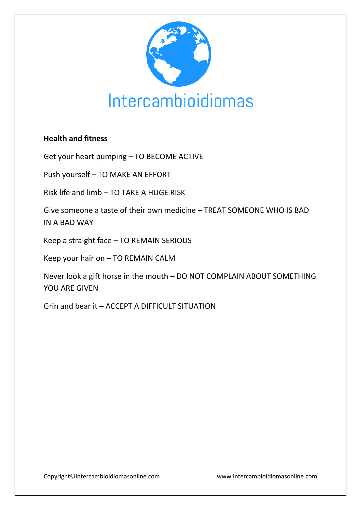

## **Health and fitness**

Get your heart pumping – TO BECOME ACTIVE

Push yourself – TO MAKE AN EFFORT

Risk life and limb – TO TAKE A HUGE RISK

Give someone a taste of their own medicine – TREAT SOMEONE WHO IS BAD IN A BAD WAY

Keep a straight face – TO REMAIN SERIOUS

Keep your hair on – TO REMAIN CALM

Never look a gift horse in the mouth – DO NOT COMPLAIN ABOUT SOMETHING YOU ARE GIVEN

Grin and bear it – ACCEPT A DIFFICULT SITUATION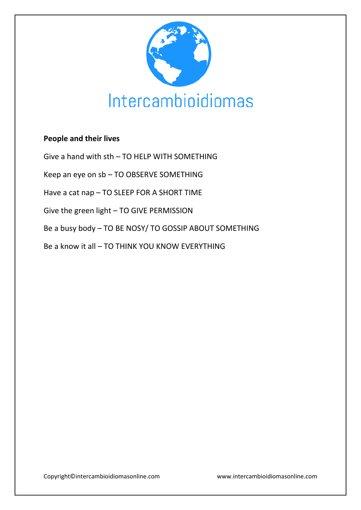

## **People and their lives**

Give a hand with sth – TO HELP WITH SOMETHING

Keep an eye on sb – TO OBSERVE SOMETHING

Have a cat nap – TO SLEEP FOR A SHORT TIME

Give the green light – TO GIVE PERMISSION

Be a busy body – TO BE NOSY/ TO GOSSIP ABOUT SOMETHING

Be a know it all – TO THINK YOU KNOW EVERYTHING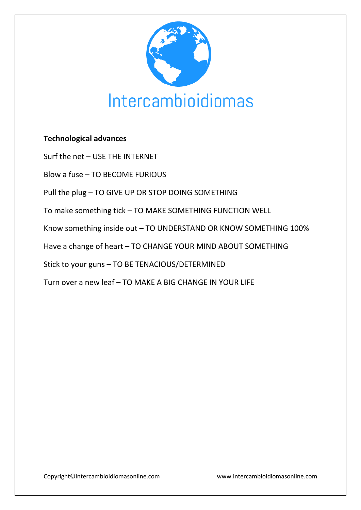

## **Technological advances**

Surf the net – USE THE INTERNET

Blow a fuse – TO BECOME FURIOUS

Pull the plug – TO GIVE UP OR STOP DOING SOMETHING

To make something tick – TO MAKE SOMETHING FUNCTION WELL

Know something inside out – TO UNDERSTAND OR KNOW SOMETHING 100%

Have a change of heart – TO CHANGE YOUR MIND ABOUT SOMETHING

Stick to your guns – TO BE TENACIOUS/DETERMINED

Turn over a new leaf – TO MAKE A BIG CHANGE IN YOUR LIFE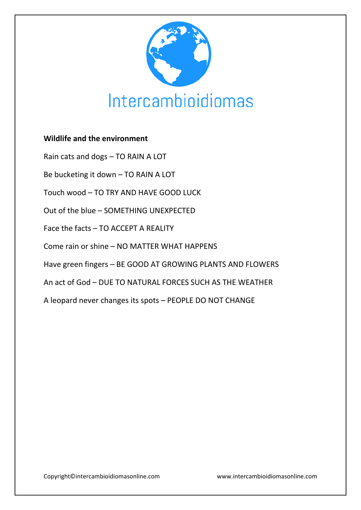

## **Wildlife and the environment**

Rain cats and dogs – TO RAIN A LOT

Be bucketing it down – TO RAIN A LOT

Touch wood – TO TRY AND HAVE GOOD LUCK

Out of the blue – SOMETHING UNEXPECTED

Face the facts – TO ACCEPT A REALITY

Come rain or shine – NO MATTER WHAT HAPPENS

Have green fingers – BE GOOD AT GROWING PLANTS AND FLOWERS

An act of God – DUE TO NATURAL FORCES SUCH AS THE WEATHER

A leopard never changes its spots – PEOPLE DO NOT CHANGE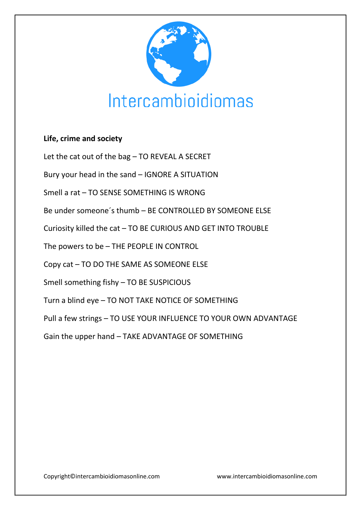

## **Life, crime and society**

Let the cat out of the bag – TO REVEAL A SECRET

Bury your head in the sand – IGNORE A SITUATION

Smell a rat – TO SENSE SOMETHING IS WRONG

Be under someone´s thumb – BE CONTROLLED BY SOMEONE ELSE

Curiosity killed the cat – TO BE CURIOUS AND GET INTO TROUBLE

The powers to be – THE PEOPLE IN CONTROL

Copy cat – TO DO THE SAME AS SOMEONE ELSE

Smell something fishy – TO BE SUSPICIOUS

Turn a blind eye – TO NOT TAKE NOTICE OF SOMETHING

Pull a few strings – TO USE YOUR INFLUENCE TO YOUR OWN ADVANTAGE

Gain the upper hand – TAKE ADVANTAGE OF SOMETHING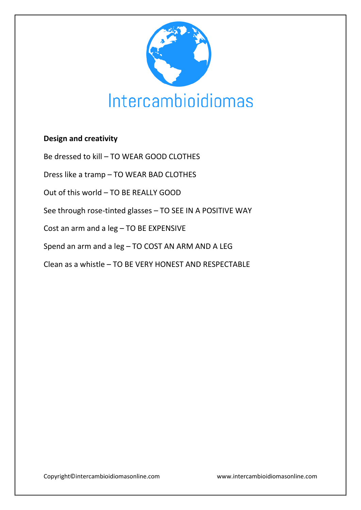

# **Design and creativity**

Be dressed to kill – TO WEAR GOOD CLOTHES

Dress like a tramp – TO WEAR BAD CLOTHES

Out of this world – TO BE REALLY GOOD

See through rose-tinted glasses – TO SEE IN A POSITIVE WAY

Cost an arm and a leg – TO BE EXPENSIVE

Spend an arm and a leg – TO COST AN ARM AND A LEG

Clean as a whistle – TO BE VERY HONEST AND RESPECTABLE